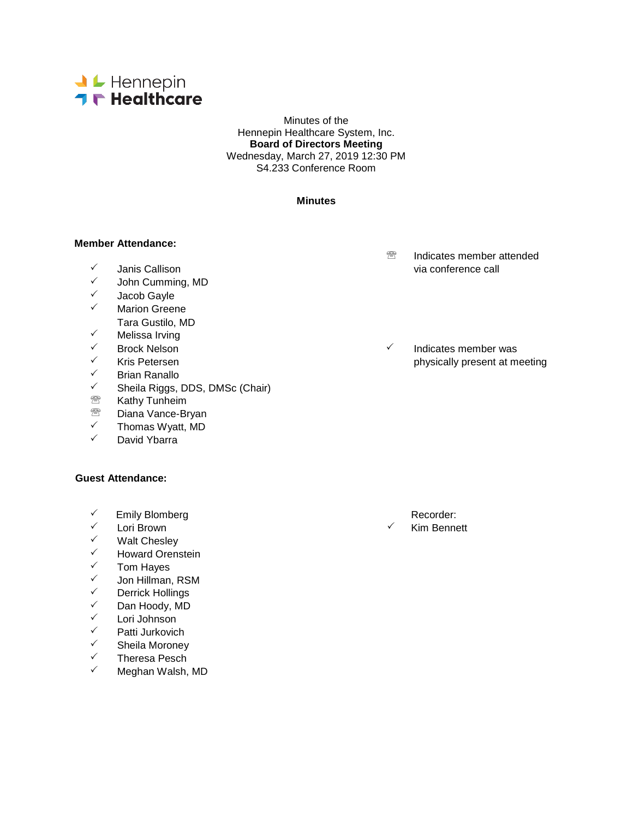

Minutes of the Hennepin Healthcare System, Inc. **Board of Directors Meeting** Wednesday, March 27, 2019 12:30 PM S4.233 Conference Room

#### **Minutes**

#### **Member Attendance:**

- 
- <del>V</del> John Cumming, MD<br>V Lacob Gayle
- <del>V</del> Jacob Gayle
- Marion Greene Tara Gustilo, MD
- ✓ Melissa Irving<br>✓ Brock Nelson
- 
- 
- <del>V</del> Brian Ranallo<br>V Sheila Riggs
- $\checkmark$  Sheila Riggs, DDS, DMSc (Chair)<br> **Example Constraint**
- Kathy Tunheim
- <sup>28</sup> Diana Vance-Bryan<br>✓ Thomas Wyatt\_MD
- $\checkmark$  Thomas Wyatt, MD
- David Ybarra

## **Guest Attendance:**

- $\checkmark$  Emily Blomberg Recorder:
- <sup>✓</sup> Lori Brown Kim Bennett<br>✓ Malt Cheslev
- V Walt Chesley<br>V Howard Oren
- V Howard Orenstein<br>V Tom Hayes
- ✓ Tom Hayes<br>✓ Jon Hillman
- <del>V</del> Jon Hillman, RSM<br>V Derrick Hollings
- ✓ Derrick Hollings<br>✓ Dan Hoody MD
- $\checkmark$  Dan Hoody, MD<br> $\checkmark$  Lori Johnson
- ✓ Lori Johnson<br>✓ Patti Jurkovic
- <del>V</del> Patti Jurkovich<br>V Sheila Moroney
- $\checkmark$  Sheila Moroney<br> $\checkmark$  Theress Pesch
- <del>V</del> Theresa Pesch<br>V Megban Walsh
- Meghan Walsh, MD
- **<sup><sup>®</sup>** Indicates member attended</sup> via conference call via conference call via conference call
- Brock Nelson Indicates member was Kris Petersen **physically present at meeting**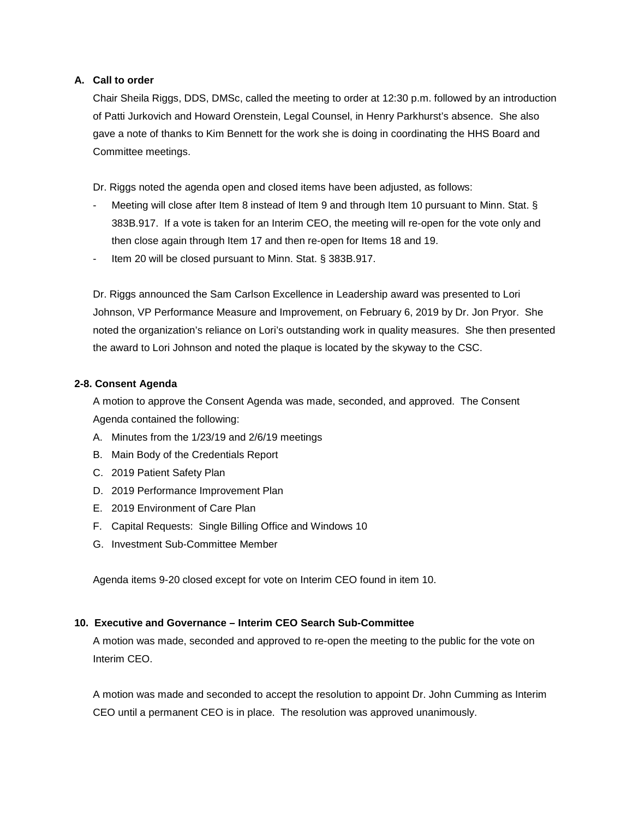## **A. Call to order**

Chair Sheila Riggs, DDS, DMSc, called the meeting to order at 12:30 p.m. followed by an introduction of Patti Jurkovich and Howard Orenstein, Legal Counsel, in Henry Parkhurst's absence. She also gave a note of thanks to Kim Bennett for the work she is doing in coordinating the HHS Board and Committee meetings.

Dr. Riggs noted the agenda open and closed items have been adjusted, as follows:

- Meeting will close after Item 8 instead of Item 9 and through Item 10 pursuant to Minn. Stat. § 383B.917. If a vote is taken for an Interim CEO, the meeting will re-open for the vote only and then close again through Item 17 and then re-open for Items 18 and 19.
- Item 20 will be closed pursuant to Minn. Stat. § 383B.917.

Dr. Riggs announced the Sam Carlson Excellence in Leadership award was presented to Lori Johnson, VP Performance Measure and Improvement, on February 6, 2019 by Dr. Jon Pryor. She noted the organization's reliance on Lori's outstanding work in quality measures. She then presented the award to Lori Johnson and noted the plaque is located by the skyway to the CSC.

# **2-8. Consent Agenda**

A motion to approve the Consent Agenda was made, seconded, and approved. The Consent Agenda contained the following:

- A. Minutes from the 1/23/19 and 2/6/19 meetings
- B. Main Body of the Credentials Report
- C. 2019 Patient Safety Plan
- D. 2019 Performance Improvement Plan
- E. 2019 Environment of Care Plan
- F. Capital Requests: Single Billing Office and Windows 10
- G. Investment Sub-Committee Member

Agenda items 9-20 closed except for vote on Interim CEO found in item 10.

## **10. Executive and Governance – Interim CEO Search Sub-Committee**

A motion was made, seconded and approved to re-open the meeting to the public for the vote on Interim CEO.

A motion was made and seconded to accept the resolution to appoint Dr. John Cumming as Interim CEO until a permanent CEO is in place. The resolution was approved unanimously.